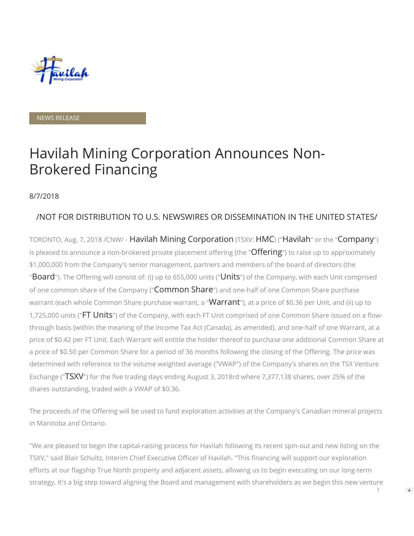

NEWS RELEASE

# Havilah Mining Corporation Announces Non-Brokered Financing

#### 8/7/2018

# /NOT FOR DISTRIBUTION TO U.S. NEWSWIRES OR DISSEMINATION IN THE UNITED STATES/

TORONTO, Aug. 7, 2018 /CNW/ - Havilah Mining Corporation (TSXV: HMC) ("Havilah" or the "Company") is pleased to announce a non-brokered private placement offering (the "Offering") to raise up to approximately \$1,000,000 from the Company's senior management, partners and members of the board of directors (the "Board"). The Offering will consist of: (i) up to 655,000 units ("Units") of the Company, with each Unit comprised of one common share of the Company ("Common Share") and one-half of one Common Share purchase warrant (each whole Common Share purchase warrant, a "Warrant"), at a price of \$0.36 per Unit, and (ii) up to 1,725,000 units ("FT Units") of the Company, with each FT Unit comprised of one Common Share issued on a flowthrough basis (within the meaning of the Income Tax Act (Canada), as amended), and one-half of one Warrant, at a price of \$0.42 per FT Unit. Each Warrant will entitle the holder thereof to purchase one additional Common Share at a price of \$0.50 per Common Share for a period of 36 months following the closing of the Offering. The price was determined with reference to the volume weighted average ("VWAP") of the Company's shares on the TSX Venture Exchange ("TSXV") for the five trading days ending August 3, 2018rd where 7,377,138 shares, over 25% of the shares outstanding, traded with a VWAP of \$0.36.

The proceeds of the Offering will be used to fund exploration activities at the Company's Canadian mineral projects in Manitoba and Ontario.

"We are pleased to begin the capital-raising process for Havilah following its recent spin-out and new listing on the TSXV," said Blair Schultz, Interim Chief Executive Officer of Havilah. "This financing will support our exploration efforts at our flagship True North property and adjacent assets, allowing us to begin executing on our long-term strategy. It's a big step toward aligning the Board and management with shareholders as we begin this new venture

1

 $\Rightarrow$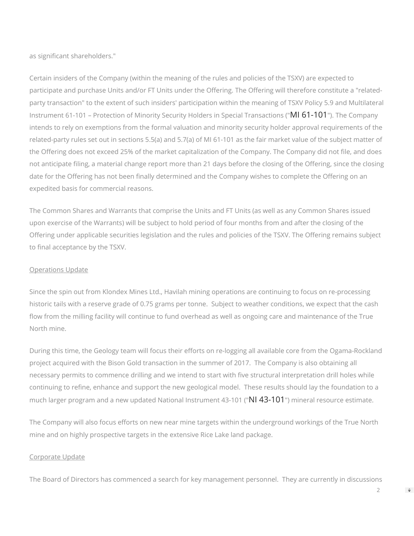as significant shareholders."

Certain insiders of the Company (within the meaning of the rules and policies of the TSXV) are expected to participate and purchase Units and/or FT Units under the Offering. The Offering will therefore constitute a "relatedparty transaction" to the extent of such insiders' participation within the meaning of TSXV Policy 5.9 and Multilateral Instrument 61-101 – Protection of Minority Security Holders in Special Transactions ("MI 61-101"). The Company intends to rely on exemptions from the formal valuation and minority security holder approval requirements of the related-party rules set out in sections 5.5(a) and 5.7(a) of MI 61-101 as the fair market value of the subject matter of the Offering does not exceed 25% of the market capitalization of the Company. The Company did not file, and does not anticipate filing, a material change report more than 21 days before the closing of the Offering, since the closing date for the Offering has not been finally determined and the Company wishes to complete the Offering on an expedited basis for commercial reasons.

The Common Shares and Warrants that comprise the Units and FT Units (as well as any Common Shares issued upon exercise of the Warrants) will be subject to hold period of four months from and after the closing of the Offering under applicable securities legislation and the rules and policies of the TSXV. The Offering remains subject to final acceptance by the TSXV.

#### Operations Update

Since the spin out from Klondex Mines Ltd., Havilah mining operations are continuing to focus on re-processing historic tails with a reserve grade of 0.75 grams per tonne. Subject to weather conditions, we expect that the cash flow from the milling facility will continue to fund overhead as well as ongoing care and maintenance of the True North mine.

During this time, the Geology team will focus their efforts on re-logging all available core from the Ogama-Rockland project acquired with the Bison Gold transaction in the summer of 2017. The Company is also obtaining all necessary permits to commence drilling and we intend to start with five structural interpretation drill holes while continuing to refine, enhance and support the new geological model. These results should lay the foundation to a much larger program and a new updated National Instrument 43-101 ("NI 43-101") mineral resource estimate.

The Company will also focus efforts on new near mine targets within the underground workings of the True North mine and on highly prospective targets in the extensive Rice Lake land package.

#### Corporate Update

The Board of Directors has commenced a search for key management personnel. They are currently in discussions

 $\Rightarrow$ 

 $\mathcal{P}$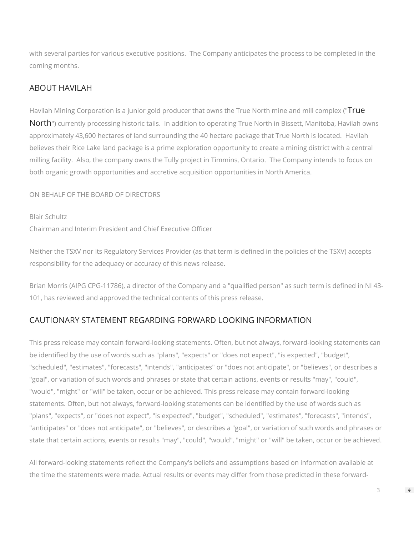with several parties for various executive positions. The Company anticipates the process to be completed in the coming months.

### ABOUT HAVILAH

Havilah Mining Corporation is a junior gold producer that owns the True North mine and mill complex ("True North") currently processing historic tails. In addition to operating True North in Bissett, Manitoba, Havilah owns approximately 43,600 hectares of land surrounding the 40 hectare package that True North is located. Havilah believes their Rice Lake land package is a prime exploration opportunity to create a mining district with a central milling facility. Also, the company owns the Tully project in Timmins, Ontario. The Company intends to focus on both organic growth opportunities and accretive acquisition opportunities in North America.

ON BEHALF OF THE BOARD OF DIRECTORS

Blair Schultz Chairman and Interim President and Chief Executive Officer

Neither the TSXV nor its Regulatory Services Provider (as that term is defined in the policies of the TSXV) accepts responsibility for the adequacy or accuracy of this news release.

Brian Morris (AIPG CPG-11786), a director of the Company and a "qualified person" as such term is defined in NI 43-101, has reviewed and approved the technical contents of this press release.

# CAUTIONARY STATEMENT REGARDING FORWARD LOOKING INFORMATION

This press release may contain forward-looking statements. Often, but not always, forward-looking statements can be identified by the use of words such as "plans", "expects" or "does not expect", "is expected", "budget", "scheduled", "estimates", "forecasts", "intends", "anticipates" or "does not anticipate", or "believes", or describes a "goal", or variation of such words and phrases or state that certain actions, events or results "may", "could", "would", "might" or "will" be taken, occur or be achieved. This press release may contain forward-looking statements. Often, but not always, forward-looking statements can be identified by the use of words such as "plans", "expects", or "does not expect", "is expected", "budget", "scheduled", "estimates", "forecasts", "intends", "anticipates" or "does not anticipate", or "believes", or describes a "goal", or variation of such words and phrases or state that certain actions, events or results "may", "could", "would", "might" or "will" be taken, occur or be achieved.

All forward-looking statements reflect the Company's beliefs and assumptions based on information available at the time the statements were made. Actual results or events may differ from those predicted in these forward-

3

 $\Rightarrow$